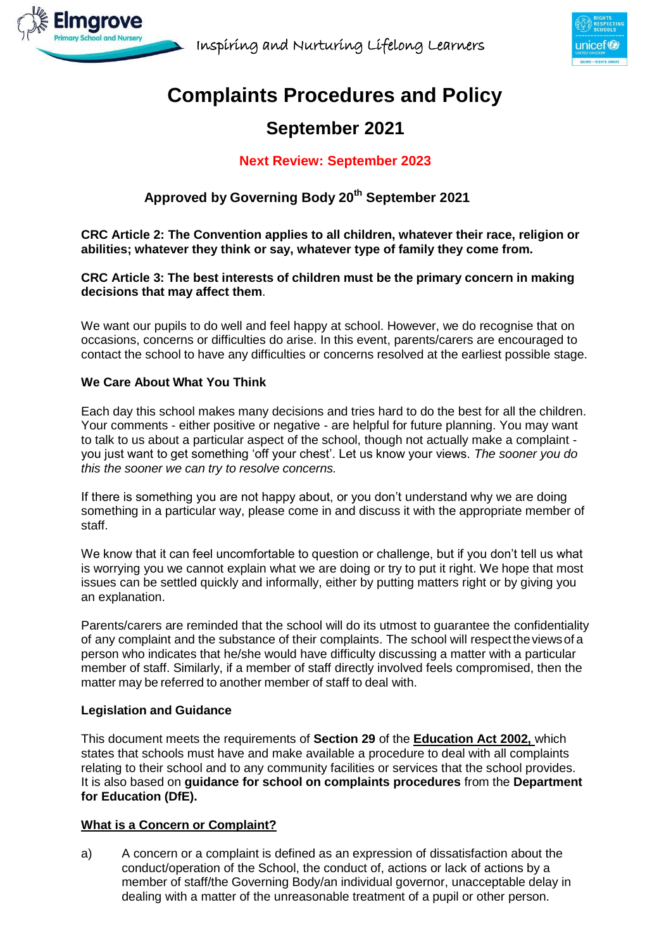



# **Complaints Procedures and Policy**

# **September 2021**

# **Next Review: September 2023**

# **Approved by Governing Body 20th September 2021**

**CRC Article 2: The Convention applies to all children, whatever their race, religion or abilities; whatever they think or say, whatever type of family they come from.**

### **CRC Article 3: The best interests of children must be the primary concern in making decisions that may affect them**.

We want our pupils to do well and feel happy at school. However, we do recognise that on occasions, concerns or difficulties do arise. In this event, parents/carers are encouraged to contact the school to have any difficulties or concerns resolved at the earliest possible stage.

## **We Care About What You Think**

Each day this school makes many decisions and tries hard to do the best for all the children. Your comments - either positive or negative - are helpful for future planning. You may want to talk to us about a particular aspect of the school, though not actually make a complaint you just want to get something 'off your chest'. Let us know your views. *The sooner you do this the sooner we can try to resolve concerns.*

If there is something you are not happy about, or you don't understand why we are doing something in a particular way, please come in and discuss it with the appropriate member of staff.

We know that it can feel uncomfortable to question or challenge, but if you don't tell us what is worrying you we cannot explain what we are doing or try to put it right. We hope that most issues can be settled quickly and informally, either by putting matters right or by giving you an explanation.

Parents/carers are reminded that the school will do its utmost to guarantee the confidentiality of any complaint and the substance of their complaints. The school will respecttheviewsof a person who indicates that he/she would have difficulty discussing a matter with a particular member of staff. Similarly, if a member of staff directly involved feels compromised, then the matter may be referred to another member of staff to deal with.

### **Legislation and Guidance**

This document meets the requirements of **Section 29** of the **Education Act 2002,** which states that schools must have and make available a procedure to deal with all complaints relating to their school and to any community facilities or services that the school provides. It is also based on **guidance for school on complaints procedures** from the **Department for Education (DfE).**

# **What is a Concern or Complaint?**

a) A concern or a complaint is defined as an expression of dissatisfaction about the conduct/operation of the School, the conduct of, actions or lack of actions by a member of staff/the Governing Body/an individual governor, unacceptable delay in dealing with a matter of the unreasonable treatment of a pupil or other person.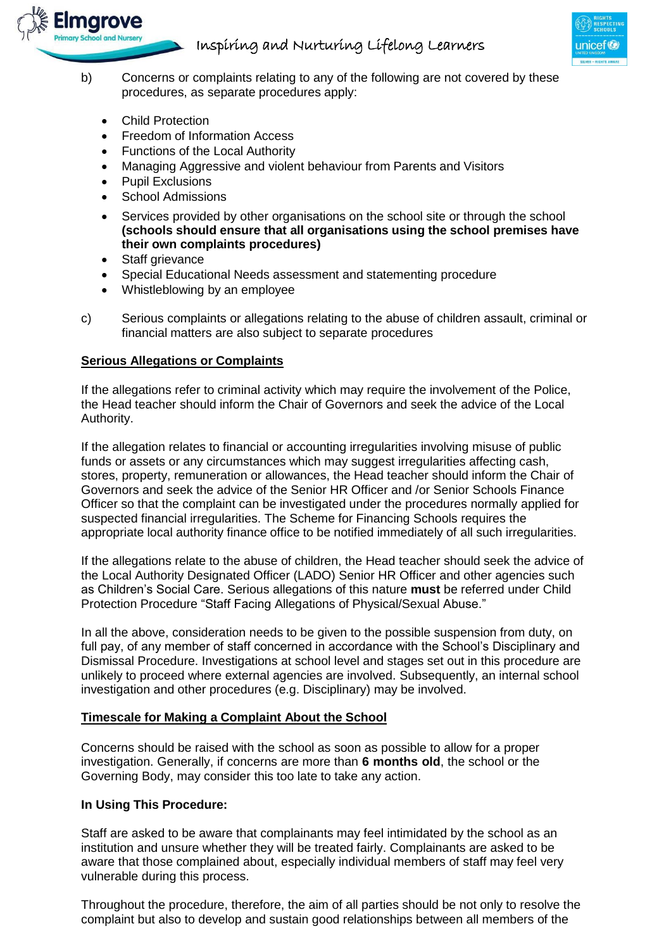

- b) Concerns or complaints relating to any of the following are not covered by these procedures, as separate procedures apply:
	- Child Protection

marove

- Freedom of Information Access
- Functions of the Local Authority
- Managing Aggressive and violent behaviour from Parents and Visitors
- Pupil Exclusions
- School Admissions
- Services provided by other organisations on the school site or through the school **(schools should ensure that all organisations using the school premises have their own complaints procedures)**
- Staff grievance
- Special Educational Needs assessment and statementing procedure
- Whistleblowing by an employee
- c) Serious complaints or allegations relating to the abuse of children assault, criminal or financial matters are also subject to separate procedures

### **Serious Allegations or Complaints**

If the allegations refer to criminal activity which may require the involvement of the Police, the Head teacher should inform the Chair of Governors and seek the advice of the Local Authority.

If the allegation relates to financial or accounting irregularities involving misuse of public funds or assets or any circumstances which may suggest irregularities affecting cash, stores, property, remuneration or allowances, the Head teacher should inform the Chair of Governors and seek the advice of the Senior HR Officer and /or Senior Schools Finance Officer so that the complaint can be investigated under the procedures normally applied for suspected financial irregularities. The Scheme for Financing Schools requires the appropriate local authority finance office to be notified immediately of all such irregularities.

If the allegations relate to the abuse of children, the Head teacher should seek the advice of the Local Authority Designated Officer (LADO) Senior HR Officer and other agencies such as Children's Social Care. Serious allegations of this nature **must** be referred under Child Protection Procedure "Staff Facing Allegations of Physical/Sexual Abuse."

In all the above, consideration needs to be given to the possible suspension from duty, on full pay, of any member of staff concerned in accordance with the School's Disciplinary and Dismissal Procedure. Investigations at school level and stages set out in this procedure are unlikely to proceed where external agencies are involved. Subsequently, an internal school investigation and other procedures (e.g. Disciplinary) may be involved.

### **Timescale for Making a Complaint About the School**

Concerns should be raised with the school as soon as possible to allow for a proper investigation. Generally, if concerns are more than **6 months old**, the school or the Governing Body, may consider this too late to take any action.

### **In Using This Procedure:**

Staff are asked to be aware that complainants may feel intimidated by the school as an institution and unsure whether they will be treated fairly. Complainants are asked to be aware that those complained about, especially individual members of staff may feel very vulnerable during this process.

Throughout the procedure, therefore, the aim of all parties should be not only to resolve the complaint but also to develop and sustain good relationships between all members of the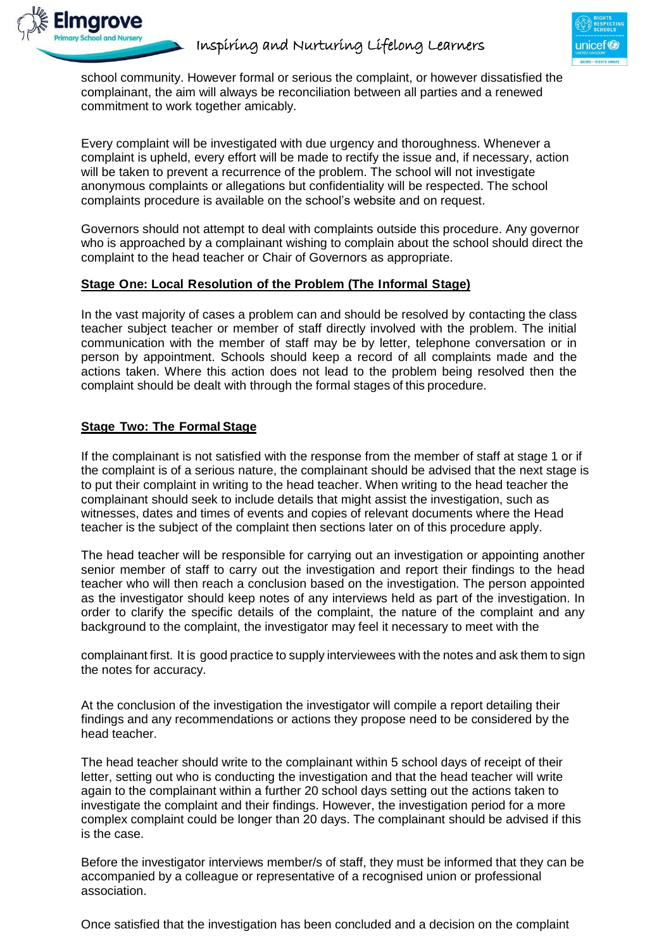

school community. However formal or serious the complaint, or however dissatisfied the complainant, the aim will always be reconciliation between all parties and a renewed commitment to work together amicably.

Every complaint will be investigated with due urgency and thoroughness. Whenever a complaint is upheld, every effort will be made to rectify the issue and, if necessary, action will be taken to prevent a recurrence of the problem. The school will not investigate anonymous complaints or allegations but confidentiality will be respected. The school complaints procedure is available on the school's website and on request.

Governors should not attempt to deal with complaints outside this procedure. Any governor who is approached by a complainant wishing to complain about the school should direct the complaint to the head teacher or Chair of Governors as appropriate.

## **Stage One: Local Resolution of the Problem (The Informal Stage)**

In the vast majority of cases a problem can and should be resolved by contacting the class teacher subject teacher or member of staff directly involved with the problem. The initial communication with the member of staff may be by letter, telephone conversation or in person by appointment. Schools should keep a record of all complaints made and the actions taken. Where this action does not lead to the problem being resolved then the complaint should be dealt with through the formal stages of this procedure.

## **Stage Two: The Formal Stage**

If the complainant is not satisfied with the response from the member of staff at stage 1 or if the complaint is of a serious nature, the complainant should be advised that the next stage is to put their complaint in writing to the head teacher. When writing to the head teacher the complainant should seek to include details that might assist the investigation, such as witnesses, dates and times of events and copies of relevant documents where the Head teacher is the subject of the complaint then sections later on of this procedure apply.

The head teacher will be responsible for carrying out an investigation or appointing another senior member of staff to carry out the investigation and report their findings to the head teacher who will then reach a conclusion based on the investigation. The person appointed as the investigator should keep notes of any interviews held as part of the investigation. In order to clarify the specific details of the complaint, the nature of the complaint and any background to the complaint, the investigator may feel it necessary to meet with the

complainant first. It is good practice to supply interviewees with the notes and ask them to sign the notes for accuracy.

At the conclusion of the investigation the investigator will compile a report detailing their findings and any recommendations or actions they propose need to be considered by the head teacher.

The head teacher should write to the complainant within 5 school days of receipt of their letter, setting out who is conducting the investigation and that the head teacher will write again to the complainant within a further 20 school days setting out the actions taken to investigate the complaint and their findings. However, the investigation period for a more complex complaint could be longer than 20 days. The complainant should be advised if this is the case.

Before the investigator interviews member/s of staff, they must be informed that they can be accompanied by a colleague or representative of a recognised union or professional association.

Once satisfied that the investigation has been concluded and a decision on the complaint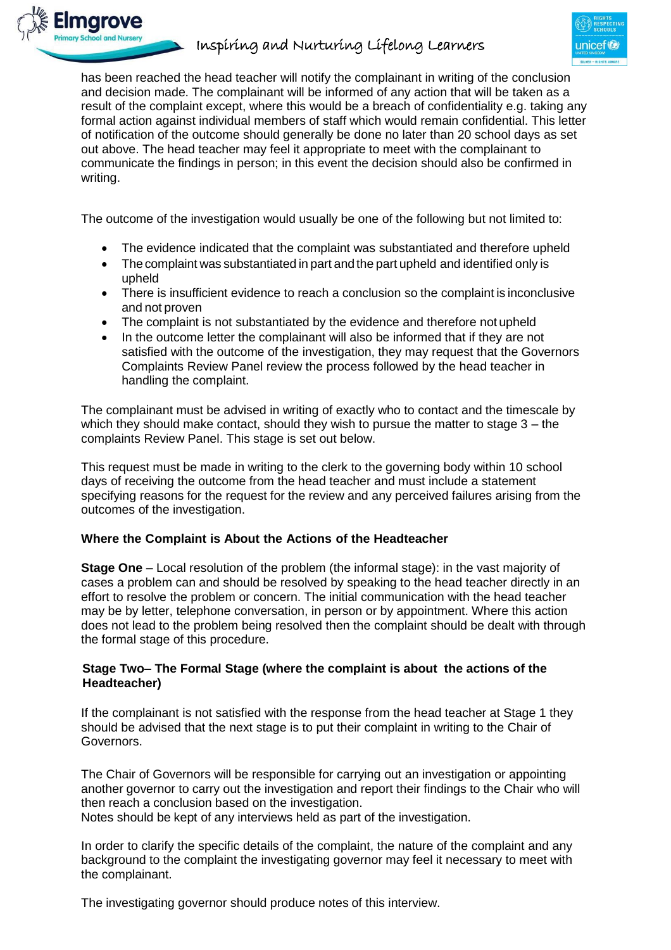



has been reached the head teacher will notify the complainant in writing of the conclusion and decision made. The complainant will be informed of any action that will be taken as a result of the complaint except, where this would be a breach of confidentiality e.g. taking any formal action against individual members of staff which would remain confidential. This letter of notification of the outcome should generally be done no later than 20 school days as set out above. The head teacher may feel it appropriate to meet with the complainant to communicate the findings in person; in this event the decision should also be confirmed in writing.

The outcome of the investigation would usually be one of the following but not limited to:

- The evidence indicated that the complaint was substantiated and therefore upheld
- The complaint was substantiated in part and the part upheld and identified only is upheld
- There is insufficient evidence to reach a conclusion so the complaint is inconclusive and not proven
- The complaint is not substantiated by the evidence and therefore not upheld
- In the outcome letter the complainant will also be informed that if they are not satisfied with the outcome of the investigation, they may request that the Governors Complaints Review Panel review the process followed by the head teacher in handling the complaint.

The complainant must be advised in writing of exactly who to contact and the timescale by which they should make contact, should they wish to pursue the matter to stage  $3 -$  the complaints Review Panel. This stage is set out below.

This request must be made in writing to the clerk to the governing body within 10 school days of receiving the outcome from the head teacher and must include a statement specifying reasons for the request for the review and any perceived failures arising from the outcomes of the investigation.

### **Where the Complaint is About the Actions of the Headteacher**

**Stage One** – Local resolution of the problem (the informal stage): in the vast majority of cases a problem can and should be resolved by speaking to the head teacher directly in an effort to resolve the problem or concern. The initial communication with the head teacher may be by letter, telephone conversation, in person or by appointment. Where this action does not lead to the problem being resolved then the complaint should be dealt with through the formal stage of this procedure.

## **Stage Two– The Formal Stage (where the complaint is about the actions of the Headteacher)**

If the complainant is not satisfied with the response from the head teacher at Stage 1 they should be advised that the next stage is to put their complaint in writing to the Chair of Governors.

The Chair of Governors will be responsible for carrying out an investigation or appointing another governor to carry out the investigation and report their findings to the Chair who will then reach a conclusion based on the investigation.

Notes should be kept of any interviews held as part of the investigation.

In order to clarify the specific details of the complaint, the nature of the complaint and any background to the complaint the investigating governor may feel it necessary to meet with the complainant.

The investigating governor should produce notes of this interview.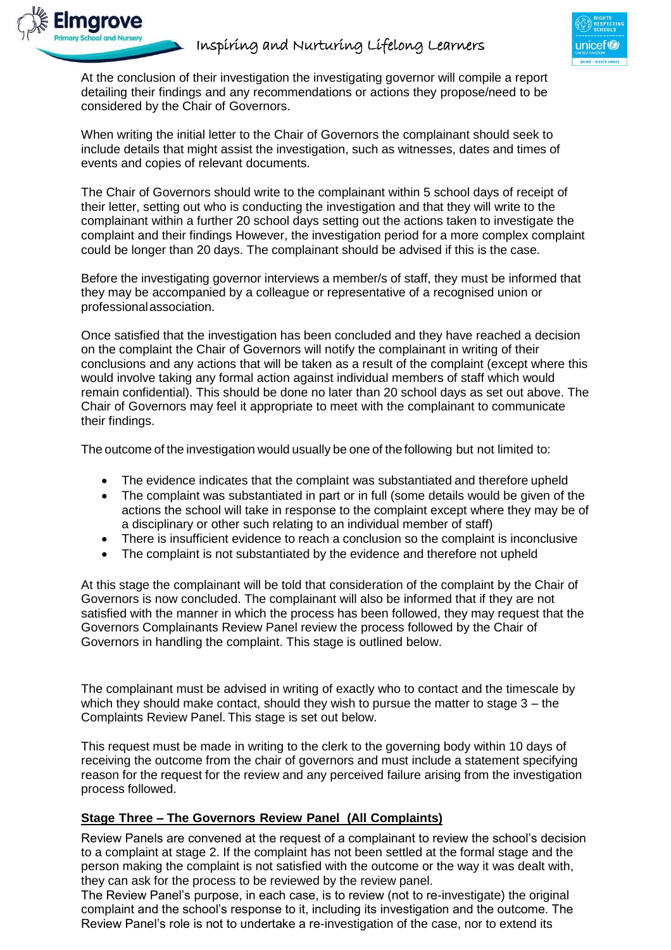

At the conclusion of their investigation the investigating governor will compile a report detailing their findings and any recommendations or actions they propose/need to be considered by the Chair of Governors.

marove

When writing the initial letter to the Chair of Governors the complainant should seek to include details that might assist the investigation, such as witnesses, dates and times of events and copies of relevant documents.

The Chair of Governors should write to the complainant within 5 school days of receipt of their letter, setting out who is conducting the investigation and that they will write to the complainant within a further 20 school days setting out the actions taken to investigate the complaint and their findings However, the investigation period for a more complex complaint could be longer than 20 days. The complainant should be advised if this is the case.

Before the investigating governor interviews a member/s of staff, they must be informed that they may be accompanied by a colleague or representative of a recognised union or professionalassociation.

Once satisfied that the investigation has been concluded and they have reached a decision on the complaint the Chair of Governors will notify the complainant in writing of their conclusions and any actions that will be taken as a result of the complaint (except where this would involve taking any formal action against individual members of staff which would remain confidential). This should be done no later than 20 school days as set out above. The Chair of Governors may feel it appropriate to meet with the complainant to communicate their findings.

The outcome of the investigation would usually be one of the following but not limited to:

- The evidence indicates that the complaint was substantiated and therefore upheld
- The complaint was substantiated in part or in full (some details would be given of the actions the school will take in response to the complaint except where they may be of a disciplinary or other such relating to an individual member of staff)
- There is insufficient evidence to reach a conclusion so the complaint is inconclusive
- The complaint is not substantiated by the evidence and therefore not upheld

At this stage the complainant will be told that consideration of the complaint by the Chair of Governors is now concluded. The complainant will also be informed that if they are not satisfied with the manner in which the process has been followed, they may request that the Governors Complainants Review Panel review the process followed by the Chair of Governors in handling the complaint. This stage is outlined below.

The complainant must be advised in writing of exactly who to contact and the timescale by which they should make contact, should they wish to pursue the matter to stage  $3 -$  the Complaints Review Panel. This stage is set out below.

This request must be made in writing to the clerk to the governing body within 10 days of receiving the outcome from the chair of governors and must include a statement specifying reason for the request for the review and any perceived failure arising from the investigation process followed.

### **Stage Three – The Governors Review Panel (All Complaints)**

Review Panels are convened at the request of a complainant to review the school's decision to a complaint at stage 2. If the complaint has not been settled at the formal stage and the person making the complaint is not satisfied with the outcome or the way it was dealt with, they can ask for the process to be reviewed by the review panel.

The Review Panel's purpose, in each case, is to review (not to re-investigate) the original complaint and the school's response to it, including its investigation and the outcome. The Review Panel's role is not to undertake a re-investigation of the case, nor to extend its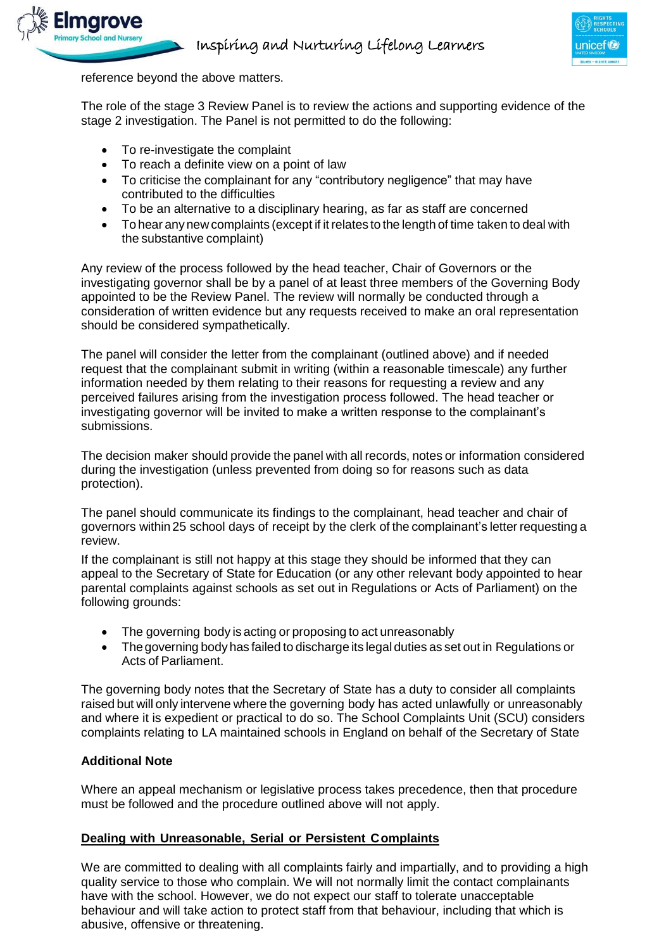



reference beyond the above matters.

The role of the stage 3 Review Panel is to review the actions and supporting evidence of the stage 2 investigation. The Panel is not permitted to do the following:

- To re-investigate the complaint
- To reach a definite view on a point of law
- To criticise the complainant for any "contributory negligence" that may have contributed to the difficulties
- To be an alternative to a disciplinary hearing, as far as staff are concerned
- To hear any new complaints (except if it relates to the length of time taken to deal with the substantive complaint)

Any review of the process followed by the head teacher, Chair of Governors or the investigating governor shall be by a panel of at least three members of the Governing Body appointed to be the Review Panel. The review will normally be conducted through a consideration of written evidence but any requests received to make an oral representation should be considered sympathetically.

The panel will consider the letter from the complainant (outlined above) and if needed request that the complainant submit in writing (within a reasonable timescale) any further information needed by them relating to their reasons for requesting a review and any perceived failures arising from the investigation process followed. The head teacher or investigating governor will be invited to make a written response to the complainant's submissions.

The decision maker should provide the panel with all records, notes or information considered during the investigation (unless prevented from doing so for reasons such as data protection).

The panel should communicate its findings to the complainant, head teacher and chair of governors within 25 school days of receipt by the clerk of the complainant's letter requesting a review.

If the complainant is still not happy at this stage they should be informed that they can appeal to the Secretary of State for Education (or any other relevant body appointed to hear parental complaints against schools as set out in Regulations or Acts of Parliament) on the following grounds:

- The governing body is acting or proposing to act unreasonably
- The governing body has failed to discharge its legal duties as set out in Regulations or Acts of Parliament.

The governing body notes that the Secretary of State has a duty to consider all complaints raised but will only intervene where the governing body has acted unlawfully or unreasonably and where it is expedient or practical to do so. The School Complaints Unit (SCU) considers complaints relating to LA maintained schools in England on behalf of the Secretary of State

### **Additional Note**

Where an appeal mechanism or legislative process takes precedence, then that procedure must be followed and the procedure outlined above will not apply.

#### **Dealing with Unreasonable, Serial or Persistent Complaints**

We are committed to dealing with all complaints fairly and impartially, and to providing a high quality service to those who complain. We will not normally limit the contact complainants have with the school. However, we do not expect our staff to tolerate unacceptable behaviour and will take action to protect staff from that behaviour, including that which is abusive, offensive or threatening.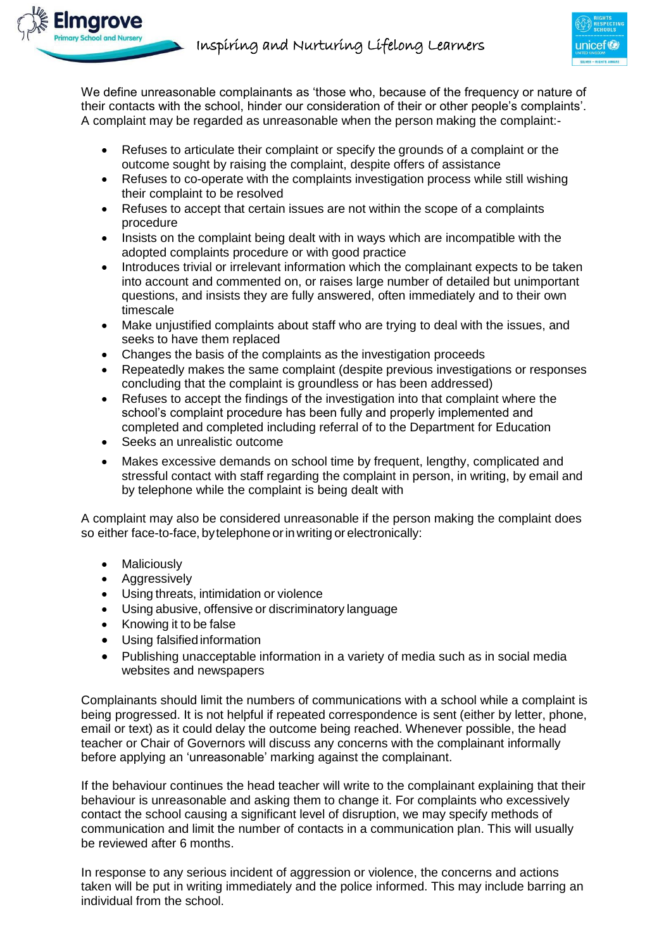

We define unreasonable complainants as 'those who, because of the frequency or nature of their contacts with the school, hinder our consideration of their or other people's complaints'. A complaint may be regarded as unreasonable when the person making the complaint:-

- Refuses to articulate their complaint or specify the grounds of a complaint or the outcome sought by raising the complaint, despite offers of assistance
- Refuses to co-operate with the complaints investigation process while still wishing their complaint to be resolved
- Refuses to accept that certain issues are not within the scope of a complaints procedure
- Insists on the complaint being dealt with in ways which are incompatible with the adopted complaints procedure or with good practice
- Introduces trivial or irrelevant information which the complainant expects to be taken into account and commented on, or raises large number of detailed but unimportant questions, and insists they are fully answered, often immediately and to their own timescale
- Make unjustified complaints about staff who are trying to deal with the issues, and seeks to have them replaced
- Changes the basis of the complaints as the investigation proceeds
- Repeatedly makes the same complaint (despite previous investigations or responses concluding that the complaint is groundless or has been addressed)
- Refuses to accept the findings of the investigation into that complaint where the school's complaint procedure has been fully and properly implemented and completed and completed including referral of to the Department for Education
- Seeks an unrealistic outcome
- Makes excessive demands on school time by frequent, lengthy, complicated and stressful contact with staff regarding the complaint in person, in writing, by email and by telephone while the complaint is being dealt with

A complaint may also be considered unreasonable if the person making the complaint does so either face-to-face, by telephone or in writing or electronically:

- Maliciously
- Aggressively
- Using threats, intimidation or violence
- Using abusive, offensive or discriminatory language
- Knowing it to be false
- Using falsified information
- Publishing unacceptable information in a variety of media such as in social media websites and newspapers

Complainants should limit the numbers of communications with a school while a complaint is being progressed. It is not helpful if repeated correspondence is sent (either by letter, phone, email or text) as it could delay the outcome being reached. Whenever possible, the head teacher or Chair of Governors will discuss any concerns with the complainant informally before applying an 'unreasonable' marking against the complainant.

If the behaviour continues the head teacher will write to the complainant explaining that their behaviour is unreasonable and asking them to change it. For complaints who excessively contact the school causing a significant level of disruption, we may specify methods of communication and limit the number of contacts in a communication plan. This will usually be reviewed after 6 months.

In response to any serious incident of aggression or violence, the concerns and actions taken will be put in writing immediately and the police informed. This may include barring an individual from the school.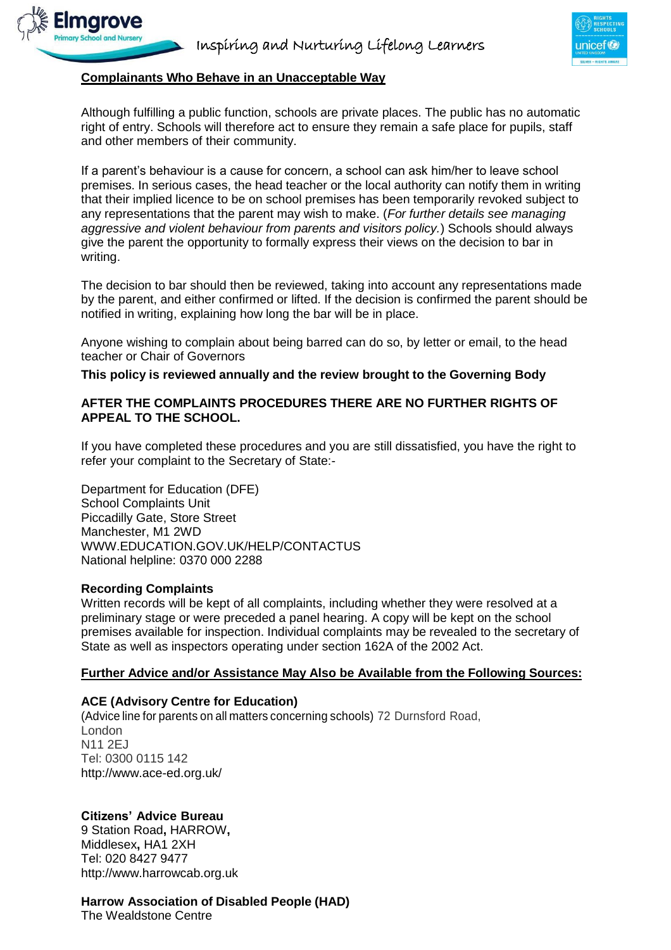

### **Complainants Who Behave in an Unacceptable Way**

marove

Although fulfilling a public function, schools are private places. The public has no automatic right of entry. Schools will therefore act to ensure they remain a safe place for pupils, staff and other members of their community.

If a parent's behaviour is a cause for concern, a school can ask him/her to leave school premises. In serious cases, the head teacher or the local authority can notify them in writing that their implied licence to be on school premises has been temporarily revoked subject to any representations that the parent may wish to make. (*For further details see managing aggressive and violent behaviour from parents and visitors policy.*) Schools should always give the parent the opportunity to formally express their views on the decision to bar in writing.

The decision to bar should then be reviewed, taking into account any representations made by the parent, and either confirmed or lifted. If the decision is confirmed the parent should be notified in writing, explaining how long the bar will be in place.

Anyone wishing to complain about being barred can do so, by letter or email, to the head teacher or Chair of Governors

**This policy is reviewed annually and the review brought to the Governing Body**

### **AFTER THE COMPLAINTS PROCEDURES THERE ARE NO FURTHER RIGHTS OF APPEAL TO THE SCHOOL.**

If you have completed these procedures and you are still dissatisfied, you have the right to refer your complaint to the Secretary of State:-

Department for Education (DFE) School Complaints Unit Piccadilly Gate, Store Street Manchester, M1 2WD [WWW.EDUCATION.GOV.UK/HELP/CONTACTUS](http://www.education.gov.uk/HELP/CONTACTUS) National helpline: 0370 000 2288

#### **Recording Complaints**

Written records will be kept of all complaints, including whether they were resolved at a preliminary stage or were preceded a panel hearing. A copy will be kept on the school premises available for inspection. Individual complaints may be revealed to the secretary of State as well as inspectors operating under section 162A of the 2002 Act.

#### **Further Advice and/or Assistance May Also be Available from the Following Sources:**

### **ACE (Advisory Centre for Education)**

(Advice line for parents on all matters concerning schools) 72 Durnsford Road, London N11 2EJ Tel: 0300 0115 142 <http://www.ace-ed.org.uk/>

### **Citizens' Advice Bureau**

9 Station Road**,** HARROW**,** Middlesex**,** HA1 2XH Tel: 020 8427 9477 [http://www.harrowcab.org.uk](http://www.harrowcab.org.uk/)

### **Harrow [Association](http://www.had.org.uk/) of Disabled People (HAD)**

The Wealdstone Centre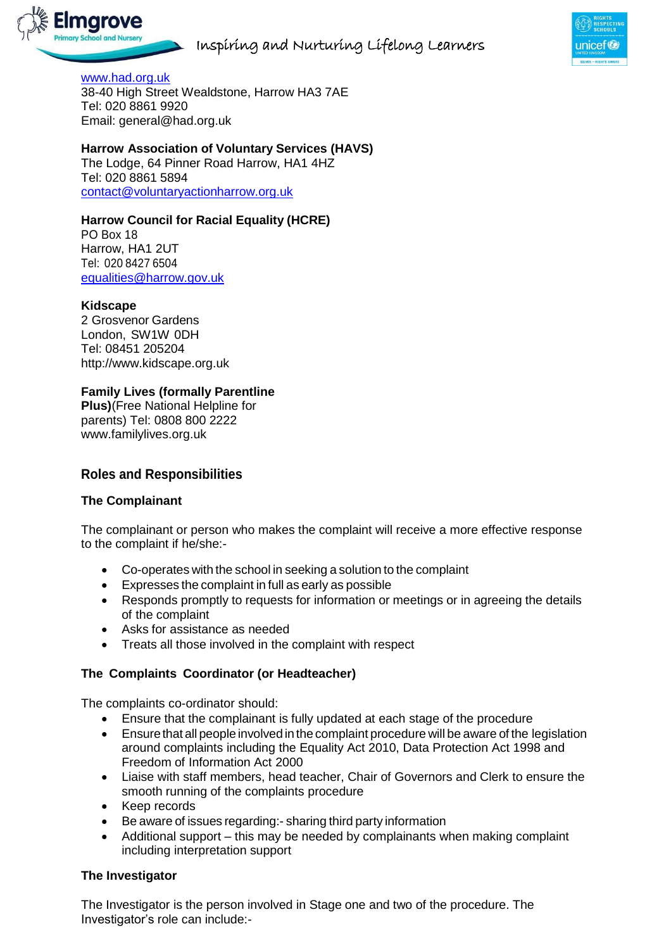



[www.had.org.uk](http://www.had.org.uk/) [38-40 High Street Wealdstone, Harrow HA3 7AE](https://www.bing.com/local?lid=YN1029x9230351855081930747&id=YN1029x9230351855081930747&q=Harrow%2BAssociation%2BOf%2BDisabled%2BPeople&name=Harrow%2BAssociation%2BOf%2BDisabled%2BPeople&cp=51.5941429138184%7e-0.334938496351242&ppois=51.5941429138184_-0.334938496351242_Harrow%2BAssociation%2BOf%2BDisabled%2BPeople) Tel: 020 8861 9920 Email: [general@had.org.uk](mailto:general@had.org.uk)

# **Harrow Association of Voluntary Services (HAVS)**

The Lodge, 64 Pinner Road Harrow, HA1 4HZ Tel: 020 8861 5894 [contact@voluntaryactionharrow.org.uk](mailto:contact@voluntaryactionharrow.org.uk)

# **Harrow Council for Racial Equality (HCRE)**

PO Box 18 Harrow, HA1 2UT Tel: 020 8427 6504 [equalities@harrow.gov.uk](mailto:equalities@harrow.gov.uk)

# **Kidscape**

2 Grosvenor Gardens London, SW1W 0DH Tel: 08451 205204 [http://www.kidscape.org.uk](http://www.kidscape.org.uk/)

# **Family Lives (formally Parentline**

**Plus)**(Free National Helpline for parents) Tel: 0808 800 2222 [www.familylives.org.uk](http://www.familylives.org.uk/)

# **Roles and Responsibilities**

# **The Complainant**

The complainant or person who makes the complaint will receive a more effective response to the complaint if he/she:-

- Co-operates with the school in seeking a solution to the complaint
- Expresses the complaint in full as early as possible
- Responds promptly to requests for information or meetings or in agreeing the details of the complaint
- Asks for assistance as needed
- Treats all those involved in the complaint with respect

# **The Complaints Coordinator (or Headteacher)**

The complaints co-ordinator should:

- Ensure that the complainant is fully updated at each stage of the procedure
- Ensure that all people involved in the complaint procedure will be aware of the legislation around complaints including the Equality Act 2010, Data Protection Act 1998 and Freedom of Information Act 2000
- Liaise with staff members, head teacher, Chair of Governors and Clerk to ensure the smooth running of the complaints procedure
- Keep records
- Be aware of issues regarding:- sharing third party information
- Additional support this may be needed by complainants when making complaint including interpretation support

# **The Investigator**

The Investigator is the person involved in Stage one and two of the procedure. The Investigator's role can include:-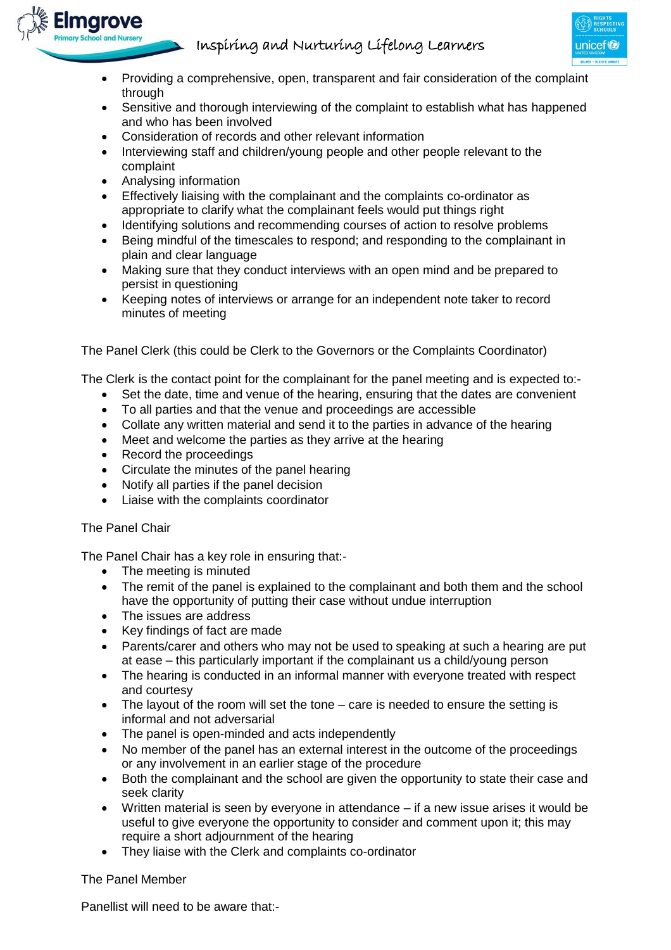

- Providing a comprehensive, open, transparent and fair consideration of the complaint through
- Sensitive and thorough interviewing of the complaint to establish what has happened and who has been involved
- Consideration of records and other relevant information
- Interviewing staff and children/young people and other people relevant to the complaint
- Analysing information

Elmarove

- Effectively liaising with the complainant and the complaints co-ordinator as appropriate to clarify what the complainant feels would put things right
- Identifying solutions and recommending courses of action to resolve problems
- Being mindful of the timescales to respond; and responding to the complainant in plain and clear language
- Making sure that they conduct interviews with an open mind and be prepared to persist in questioning
- Keeping notes of interviews or arrange for an independent note taker to record minutes of meeting

The Panel Clerk (this could be Clerk to the Governors or the Complaints Coordinator)

The Clerk is the contact point for the complainant for the panel meeting and is expected to:-

- Set the date, time and venue of the hearing, ensuring that the dates are convenient
- To all parties and that the venue and proceedings are accessible
- Collate any written material and send it to the parties in advance of the hearing
- Meet and welcome the parties as they arrive at the hearing
- Record the proceedings
- Circulate the minutes of the panel hearing
- Notify all parties if the panel decision
- Liaise with the complaints coordinator

### The Panel Chair

The Panel Chair has a key role in ensuring that:-

- The meeting is minuted
- The remit of the panel is explained to the complainant and both them and the school have the opportunity of putting their case without undue interruption
- The issues are address
- Key findings of fact are made
- Parents/carer and others who may not be used to speaking at such a hearing are put at ease – this particularly important if the complainant us a child/young person
- The hearing is conducted in an informal manner with everyone treated with respect and courtesy
- The layout of the room will set the tone care is needed to ensure the setting is informal and not adversarial
- The panel is open-minded and acts independently
- No member of the panel has an external interest in the outcome of the proceedings or any involvement in an earlier stage of the procedure
- Both the complainant and the school are given the opportunity to state their case and seek clarity
- Written material is seen by everyone in attendance if a new issue arises it would be useful to give everyone the opportunity to consider and comment upon it; this may require a short adjournment of the hearing
- They liaise with the Clerk and complaints co-ordinator

### The Panel Member

Panellist will need to be aware that:-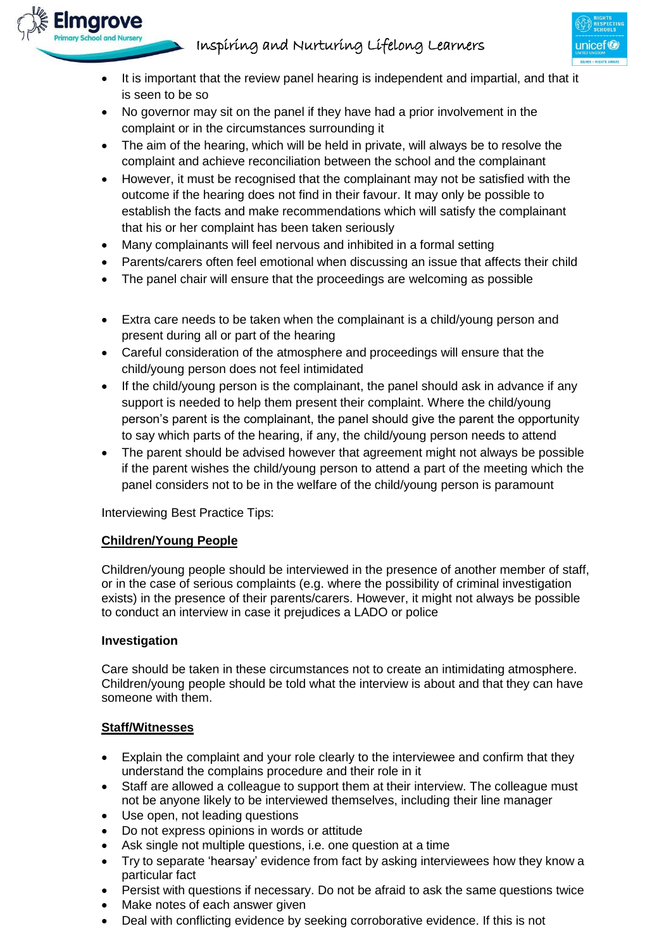

- It is important that the review panel hearing is independent and impartial, and that it is seen to be so
- No governor may sit on the panel if they have had a prior involvement in the complaint or in the circumstances surrounding it
- The aim of the hearing, which will be held in private, will always be to resolve the complaint and achieve reconciliation between the school and the complainant
- However, it must be recognised that the complainant may not be satisfied with the outcome if the hearing does not find in their favour. It may only be possible to establish the facts and make recommendations which will satisfy the complainant that his or her complaint has been taken seriously
- Many complainants will feel nervous and inhibited in a formal setting
- Parents/carers often feel emotional when discussing an issue that affects their child
- The panel chair will ensure that the proceedings are welcoming as possible
- Extra care needs to be taken when the complainant is a child/young person and present during all or part of the hearing
- Careful consideration of the atmosphere and proceedings will ensure that the child/young person does not feel intimidated
- If the child/young person is the complainant, the panel should ask in advance if any support is needed to help them present their complaint. Where the child/young person's parent is the complainant, the panel should give the parent the opportunity to say which parts of the hearing, if any, the child/young person needs to attend
- The parent should be advised however that agreement might not always be possible if the parent wishes the child/young person to attend a part of the meeting which the panel considers not to be in the welfare of the child/young person is paramount

Interviewing Best Practice Tips:

# **Children/Young People**

Children/young people should be interviewed in the presence of another member of staff, or in the case of serious complaints (e.g. where the possibility of criminal investigation exists) in the presence of their parents/carers. However, it might not always be possible to conduct an interview in case it prejudices a LADO or police

### **Investigation**

**Elmgrove** 

Care should be taken in these circumstances not to create an intimidating atmosphere. Children/young people should be told what the interview is about and that they can have someone with them.

# **Staff/Witnesses**

- Explain the complaint and your role clearly to the interviewee and confirm that they understand the complains procedure and their role in it
- Staff are allowed a colleague to support them at their interview. The colleague must not be anyone likely to be interviewed themselves, including their line manager
- Use open, not leading questions
- Do not express opinions in words or attitude
- Ask single not multiple questions, i.e. one question at a time
- Try to separate 'hearsay' evidence from fact by asking interviewees how they know a particular fact
- Persist with questions if necessary. Do not be afraid to ask the same questions twice
- Make notes of each answer given
- Deal with conflicting evidence by seeking corroborative evidence. If this is not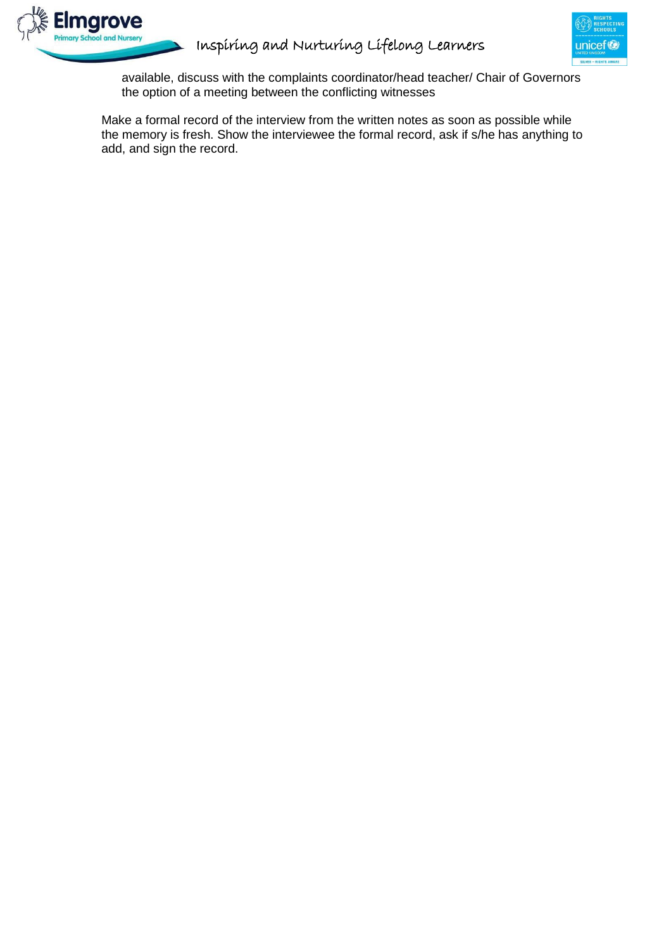



available, discuss with the complaints coordinator/head teacher/ Chair of Governors the option of a meeting between the conflicting witnesses

Make a formal record of the interview from the written notes as soon as possible while the memory is fresh. Show the interviewee the formal record, ask if s/he has anything to add, and sign the record.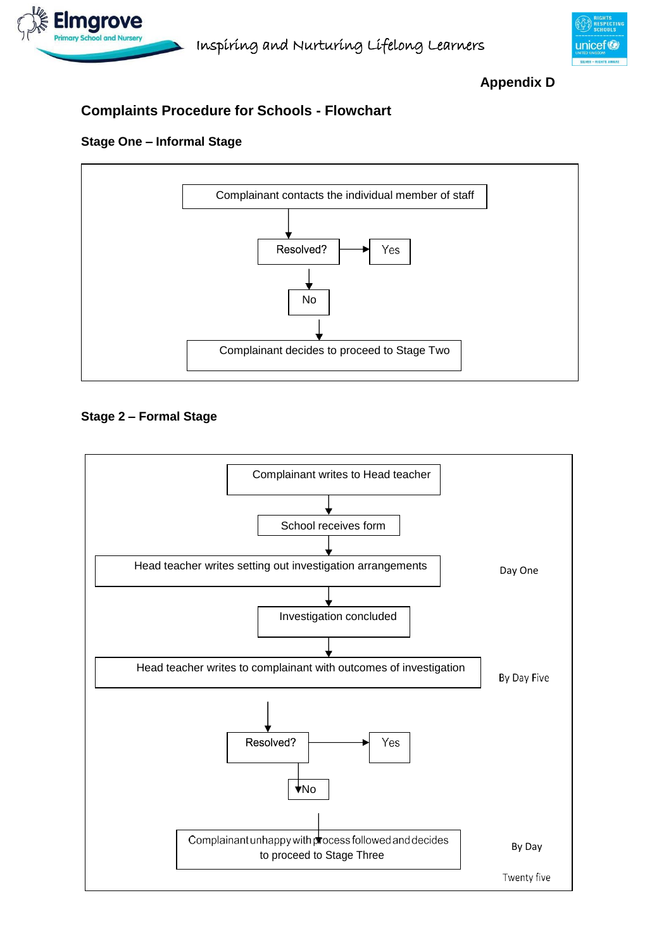



**Appendix D**

# **Complaints Procedure for Schools - Flowchart**

# **Stage One – Informal Stage**



# **Stage 2 – Formal Stage**

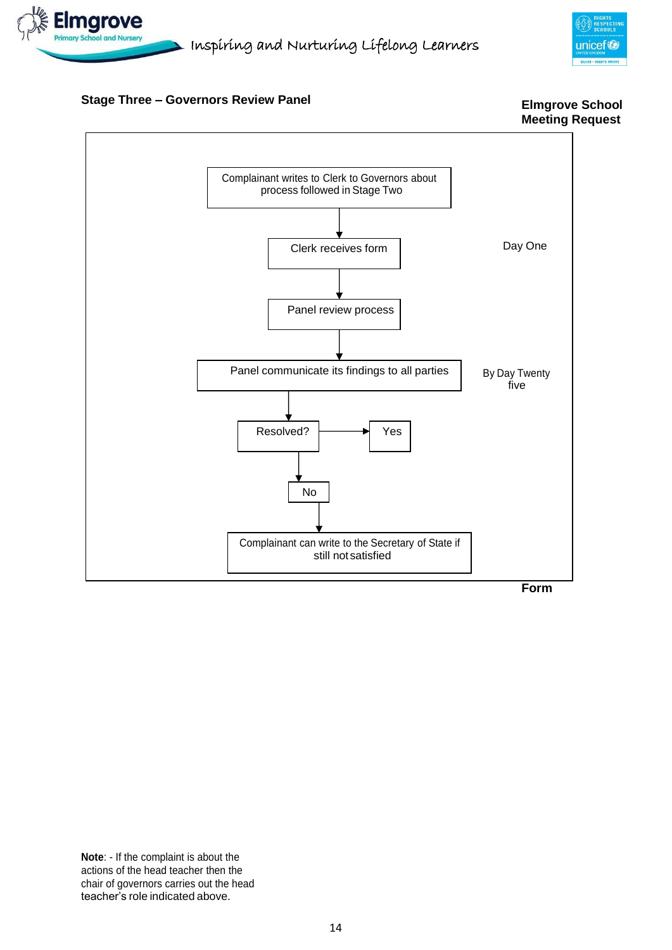



## **Stage Three – Governors Review Panel**





**Form**

**Note**: - If the complaint is about the actions of the head teacher then the chair of governors carries out the head teacher's role indicated above.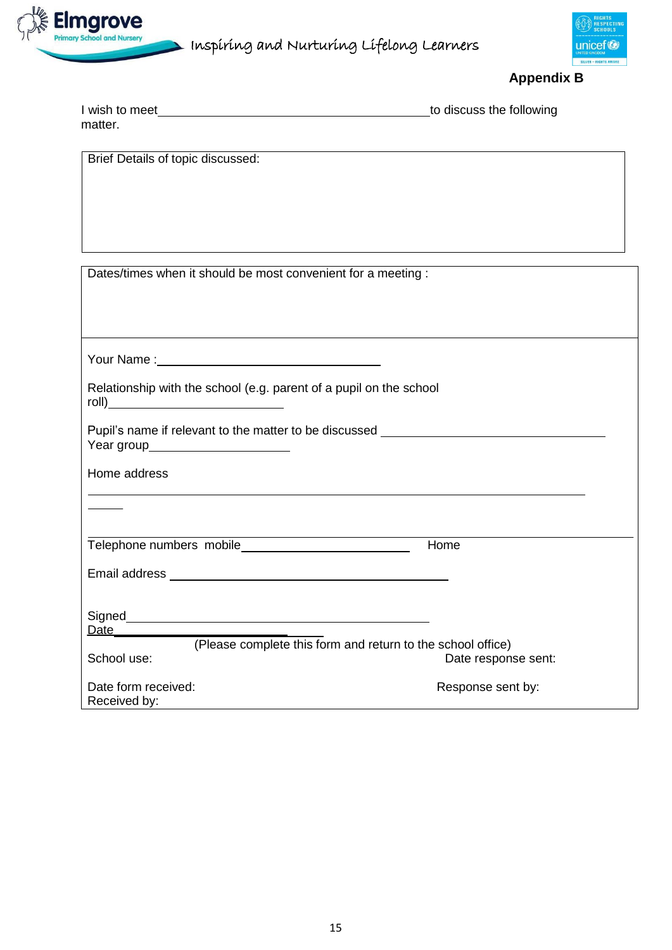

 $\blacktriangleright$  Inspiring and Nurturing Lifelong Learners



**Appendix B**

| I wish to meet | to discuss the following |
|----------------|--------------------------|
| matter.        |                          |

Brief Details of topic discussed:

| Dates/times when it should be most convenient for a meeting : |  |
|---------------------------------------------------------------|--|
|---------------------------------------------------------------|--|

| Relationship with the school (e.g. parent of a pupil on the school                                                     |                     |
|------------------------------------------------------------------------------------------------------------------------|---------------------|
| Pupil's name if relevant to the matter to be discussed _________________________<br>Year group________________________ |                     |
| Home address                                                                                                           |                     |
|                                                                                                                        |                     |
|                                                                                                                        | Home                |
|                                                                                                                        |                     |
|                                                                                                                        |                     |
| (Please complete this form and return to the school office)                                                            |                     |
| School use:                                                                                                            | Date response sent: |
| Date form received:<br>Received by:                                                                                    | Response sent by:   |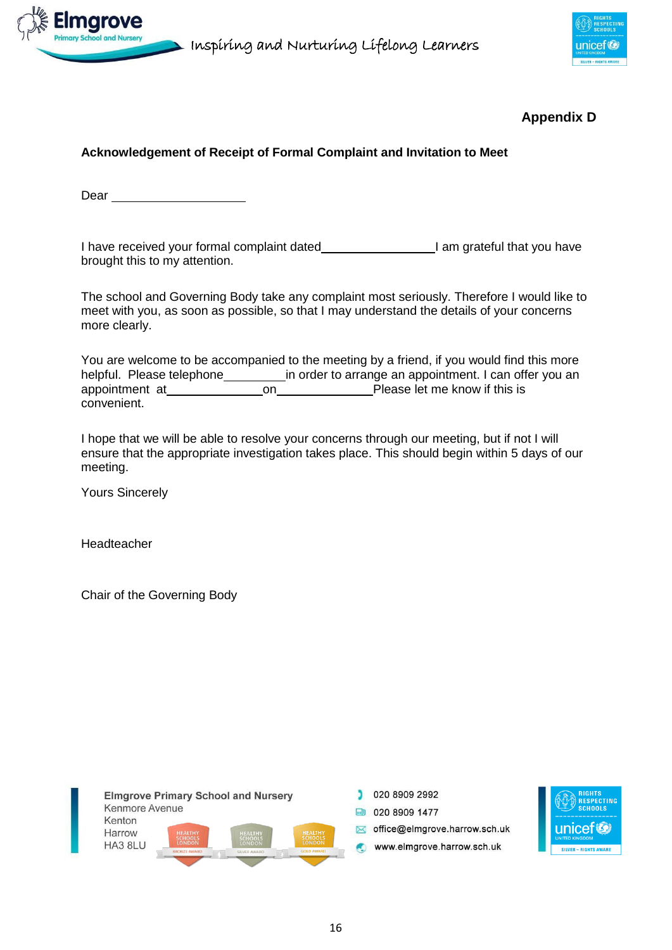



# **Appendix D**

# **Acknowledgement of Receipt of Formal Complaint and Invitation to Meet**

Dear **Dear Dear** 

I have received your formal complaint dated **I am grateful that you have** brought this to my attention.

The school and Governing Body take any complaint most seriously. Therefore I would like to meet with you, as soon as possible, so that I may understand the details of your concerns more clearly.

You are welcome to be accompanied to the meeting by a friend, if you would find this more helpful. Please telephone in order to arrange an appointment. I can offer you an appointment at on on Please let me know if this is convenient.

I hope that we will be able to resolve your concerns through our meeting, but if not I will ensure that the appropriate investigation takes place. This should begin within 5 days of our meeting.

Yours Sincerely

Headteacher

Chair of the Governing Body



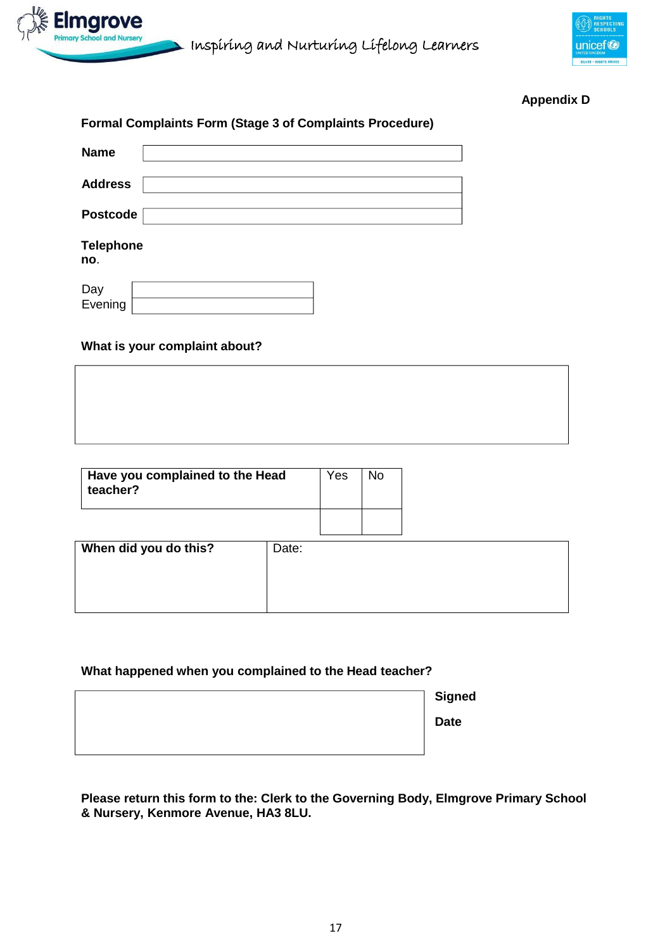



# **Appendix D**

|                         | <b>Formal Complaints Form (Stage 3 of Complaints Procedure)</b> |
|-------------------------|-----------------------------------------------------------------|
| <b>Name</b>             |                                                                 |
| <b>Address</b>          |                                                                 |
| <b>Postcode</b>         |                                                                 |
| <b>Telephone</b><br>no. |                                                                 |
| Dav                     |                                                                 |

| υaγ          |  |
|--------------|--|
| Evenina<br>- |  |
|              |  |

### **What is your complaint about?**

| Have you complained to the Head<br>teacher? |       | Yes | <b>No</b> |
|---------------------------------------------|-------|-----|-----------|
| When did you do this?                       | Date: |     |           |
|                                             |       |     |           |

# **What happened when you complained to the Head teacher?**

| <b>Signed</b> |
|---------------|
| <b>Date</b>   |
|               |

**Please return this form to the: Clerk to the Governing Body, Elmgrove Primary School & Nursery, Kenmore Avenue, HA3 8LU.**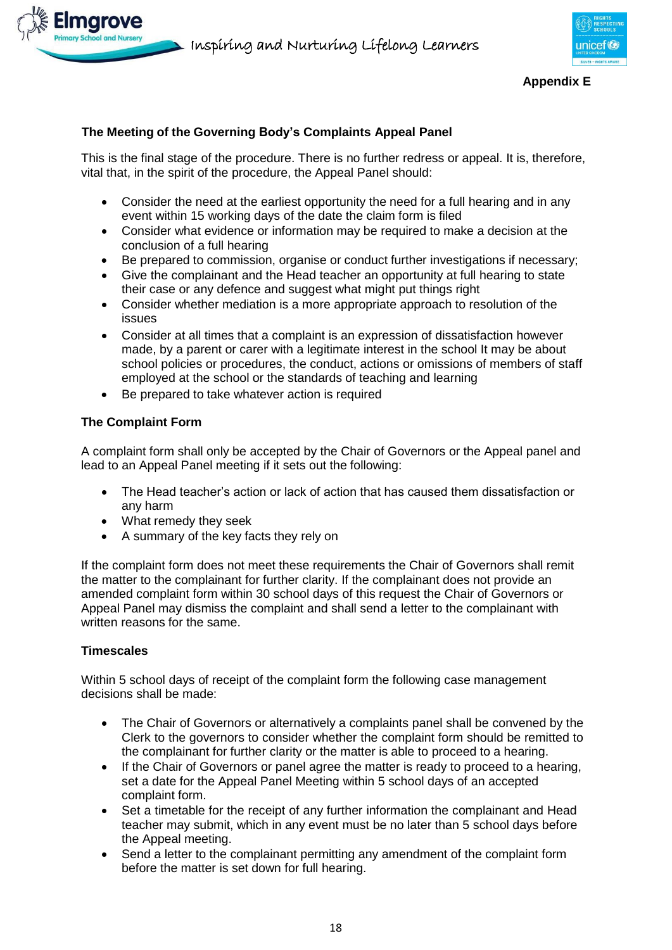



#### **Appendix E**

# **The Meeting of the Governing Body's Complaints Appeal Panel**

This is the final stage of the procedure. There is no further redress or appeal. It is, therefore, vital that, in the spirit of the procedure, the Appeal Panel should:

- Consider the need at the earliest opportunity the need for a full hearing and in any event within 15 working days of the date the claim form is filed
- Consider what evidence or information may be required to make a decision at the conclusion of a full hearing
- Be prepared to commission, organise or conduct further investigations if necessary;
- Give the complainant and the Head teacher an opportunity at full hearing to state their case or any defence and suggest what might put things right
- Consider whether mediation is a more appropriate approach to resolution of the issues
- Consider at all times that a complaint is an expression of dissatisfaction however made, by a parent or carer with a legitimate interest in the school It may be about school policies or procedures, the conduct, actions or omissions of members of staff employed at the school or the standards of teaching and learning
- Be prepared to take whatever action is required

## **The Complaint Form**

A complaint form shall only be accepted by the Chair of Governors or the Appeal panel and lead to an Appeal Panel meeting if it sets out the following:

- The Head teacher's action or lack of action that has caused them dissatisfaction or any harm
- What remedy they seek
- A summary of the key facts they rely on

If the complaint form does not meet these requirements the Chair of Governors shall remit the matter to the complainant for further clarity. If the complainant does not provide an amended complaint form within 30 school days of this request the Chair of Governors or Appeal Panel may dismiss the complaint and shall send a letter to the complainant with written reasons for the same.

### **Timescales**

Within 5 school days of receipt of the complaint form the following case management decisions shall be made:

- The Chair of Governors or alternatively a complaints panel shall be convened by the Clerk to the governors to consider whether the complaint form should be remitted to the complainant for further clarity or the matter is able to proceed to a hearing.
- If the Chair of Governors or panel agree the matter is ready to proceed to a hearing, set a date for the Appeal Panel Meeting within 5 school days of an accepted complaint form.
- Set a timetable for the receipt of any further information the complainant and Head teacher may submit, which in any event must be no later than 5 school days before the Appeal meeting.
- Send a letter to the complainant permitting any amendment of the complaint form before the matter is set down for full hearing.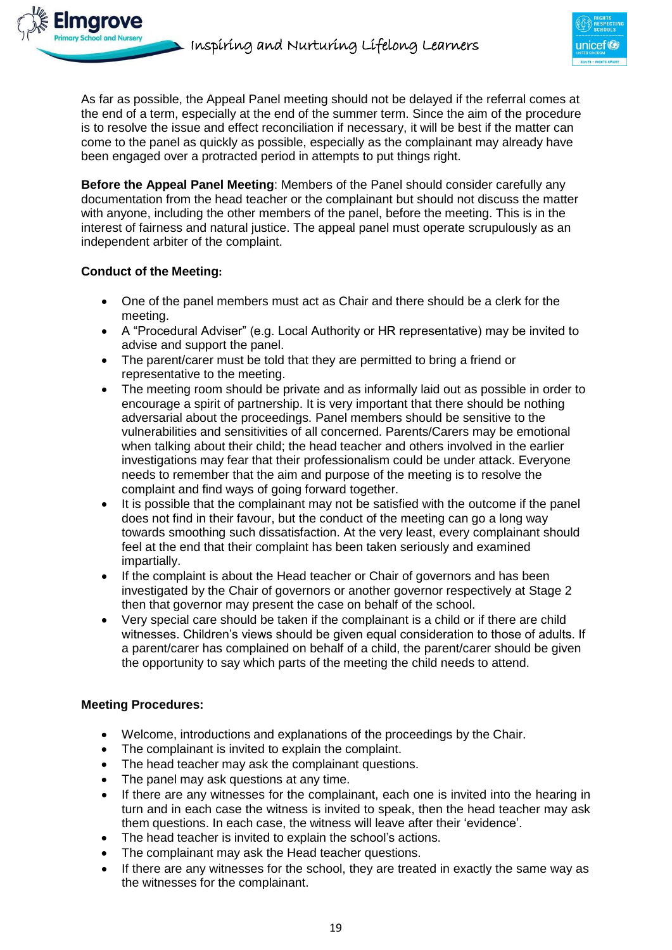

As far as possible, the Appeal Panel meeting should not be delayed if the referral comes at the end of a term, especially at the end of the summer term. Since the aim of the procedure is to resolve the issue and effect reconciliation if necessary, it will be best if the matter can come to the panel as quickly as possible, especially as the complainant may already have been engaged over a protracted period in attempts to put things right.

**Before the Appeal Panel Meeting**: Members of the Panel should consider carefully any documentation from the head teacher or the complainant but should not discuss the matter with anyone, including the other members of the panel, before the meeting. This is in the interest of fairness and natural justice. The appeal panel must operate scrupulously as an independent arbiter of the complaint.

# **Conduct of the Meeting:**

- One of the panel members must act as Chair and there should be a clerk for the meeting.
- A "Procedural Adviser" (e.g. Local Authority or HR representative) may be invited to advise and support the panel.
- The parent/carer must be told that they are permitted to bring a friend or representative to the meeting.
- The meeting room should be private and as informally laid out as possible in order to encourage a spirit of partnership. It is very important that there should be nothing adversarial about the proceedings. Panel members should be sensitive to the vulnerabilities and sensitivities of all concerned. Parents/Carers may be emotional when talking about their child; the head teacher and others involved in the earlier investigations may fear that their professionalism could be under attack. Everyone needs to remember that the aim and purpose of the meeting is to resolve the complaint and find ways of going forward together.
- It is possible that the complainant may not be satisfied with the outcome if the panel does not find in their favour, but the conduct of the meeting can go a long way towards smoothing such dissatisfaction. At the very least, every complainant should feel at the end that their complaint has been taken seriously and examined impartially.
- If the complaint is about the Head teacher or Chair of governors and has been investigated by the Chair of governors or another governor respectively at Stage 2 then that governor may present the case on behalf of the school.
- Very special care should be taken if the complainant is a child or if there are child witnesses. Children's views should be given equal consideration to those of adults. If a parent/carer has complained on behalf of a child, the parent/carer should be given the opportunity to say which parts of the meeting the child needs to attend.

### **Meeting Procedures:**

- Welcome, introductions and explanations of the proceedings by the Chair.
- The complainant is invited to explain the complaint.
- The head teacher may ask the complainant questions.
- The panel may ask questions at any time.
- If there are any witnesses for the complainant, each one is invited into the hearing in turn and in each case the witness is invited to speak, then the head teacher may ask them questions. In each case, the witness will leave after their 'evidence'.
- The head teacher is invited to explain the school's actions.
- The complainant may ask the Head teacher questions.
- If there are any witnesses for the school, they are treated in exactly the same way as the witnesses for the complainant.